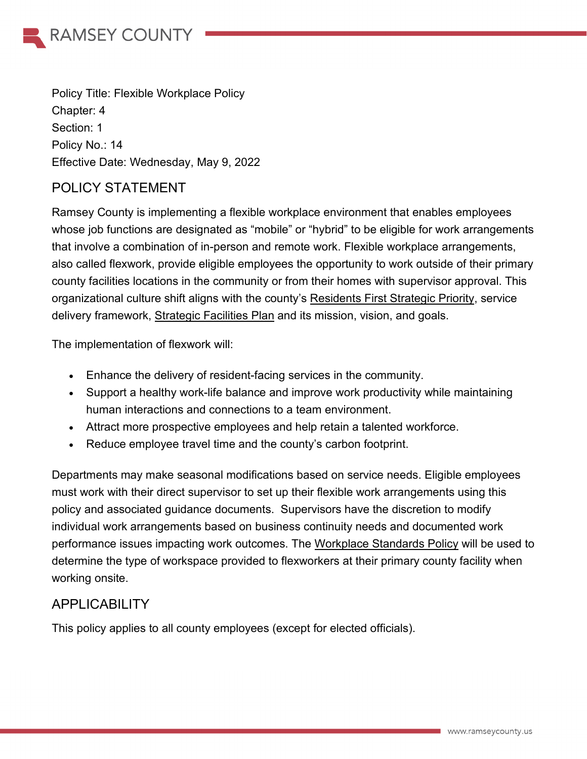

Policy Title: Flexible Workplace Policy Chapter: 4 Section: 1 Policy No.: 14 Effective Date: Wednesday, May 9, 2022

### POLICY STATEMENT

Ramsey County is implementing a flexible workplace environment that enables employees whose job functions are designated as "mobile" or "hybrid" to be eligible for work arrangements that involve a combination of in-person and remote work. Flexible workplace arrangements, also called flexwork, provide eligible employees the opportunity to work outside of their primary county facilities locations in the community or from their homes with supervisor approval. This organizational culture shift aligns with the county's [Residents First Strategic Priority,](https://www.ramseycounty.us/your-government/projects-initiatives/strategic-priorities/residents-first-effective-efficient-and-accessible-operations) service delivery framework, Strategic Facilities Plan and its mission, vision, and goals.

The implementation of flexwork will:

- Enhance the delivery of resident-facing services in the community.
- Support a healthy work-life balance and improve work productivity while maintaining human interactions and connections to a team environment.
- Attract more prospective employees and help retain a talented workforce.
- Reduce employee travel time and the county's carbon footprint.

Departments may make seasonal modifications based on service needs. Eligible employees must work with their direct supervisor to set up their flexible work arrangements using this policy and associated guidance documents. Supervisors have the discretion to modify individual work arrangements based on business continuity needs and documented work performance issues impacting work outcomes. The Workplace Standards Policy will be used to determine the type of workspace provided to flexworkers at their primary county facility when working onsite.

### APPLICABILITY

This policy applies to all county employees (except for elected officials).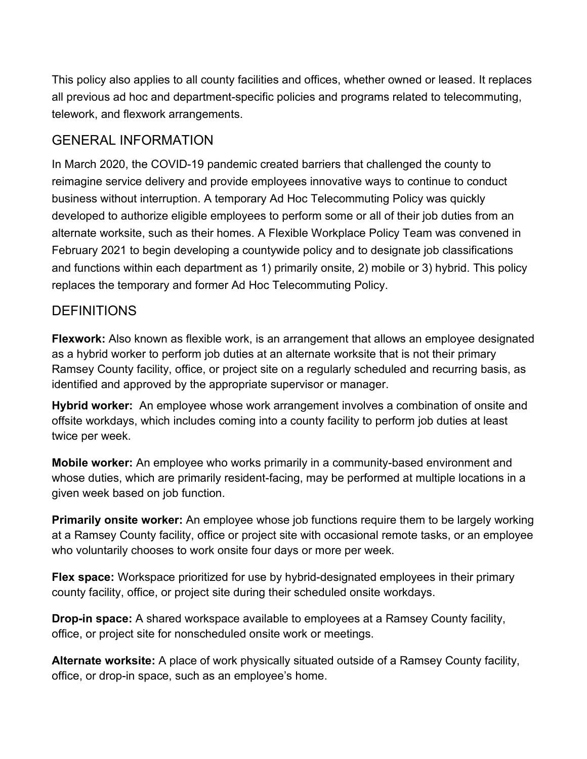This policy also applies to all county facilities and offices, whether owned or leased. It replaces all previous ad hoc and department-specific policies and programs related to telecommuting, telework, and flexwork arrangements.

### GENERAL INFORMATION

In March 2020, the COVID-19 pandemic created barriers that challenged the county to reimagine service delivery and provide employees innovative ways to continue to conduct business without interruption. A temporary Ad Hoc Telecommuting Policy was quickly developed to authorize eligible employees to perform some or all of their job duties from an alternate worksite, such as their homes. A Flexible Workplace Policy Team was convened in February 2021 to begin developing a countywide policy and to designate job classifications and functions within each department as 1) primarily onsite, 2) mobile or 3) hybrid. This policy replaces the temporary and former Ad Hoc Telecommuting Policy.

### **DEFINITIONS**

**Flexwork:** Also known as flexible work, is an arrangement that allows an employee designated as a hybrid worker to perform job duties at an alternate worksite that is not their primary Ramsey County facility, office, or project site on a regularly scheduled and recurring basis, as identified and approved by the appropriate supervisor or manager.

**Hybrid worker:** An employee whose work arrangement involves a combination of onsite and offsite workdays, which includes coming into a county facility to perform job duties at least twice per week.

**Mobile worker:** An employee who works primarily in a community-based environment and whose duties, which are primarily resident-facing, may be performed at multiple locations in a given week based on job function.

**Primarily onsite worker:** An employee whose job functions require them to be largely working at a Ramsey County facility, office or project site with occasional remote tasks, or an employee who voluntarily chooses to work onsite four days or more per week.

**Flex space:** Workspace prioritized for use by hybrid-designated employees in their primary county facility, office, or project site during their scheduled onsite workdays.

**Drop-in space:** A shared workspace available to employees at a Ramsey County facility, office, or project site for nonscheduled onsite work or meetings.

**Alternate worksite:** A place of work physically situated outside of a Ramsey County facility, office, or drop-in space, such as an employee's home.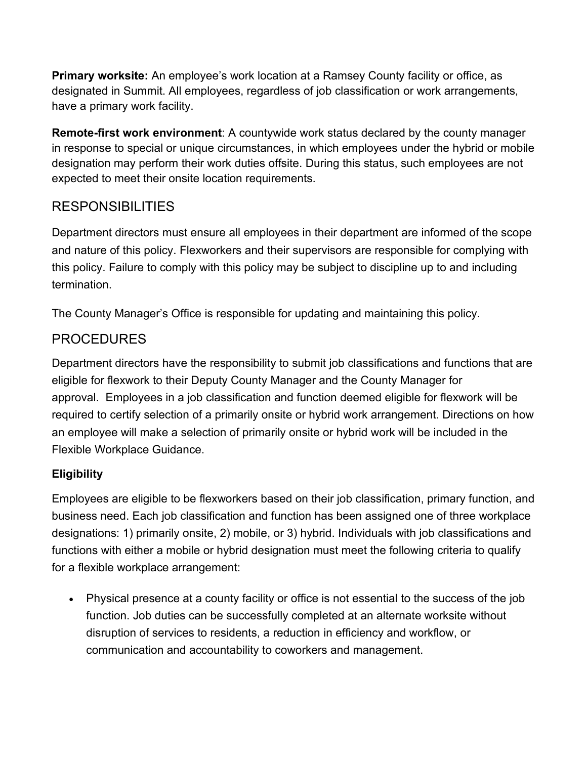**Primary worksite:** An employee's work location at a Ramsey County facility or office, as designated in Summit. All employees, regardless of job classification or work arrangements, have a primary work facility.

**Remote-first work environment**: A countywide work status declared by the county manager in response to special or unique circumstances, in which employees under the hybrid or mobile designation may perform their work duties offsite. During this status, such employees are not expected to meet their onsite location requirements.

# RESPONSIBILITIES

Department directors must ensure all employees in their department are informed of the scope and nature of this policy. Flexworkers and their supervisors are responsible for complying with this policy. Failure to comply with this policy may be subject to discipline up to and including termination.

The County Manager's Office is responsible for updating and maintaining this policy.

# PROCEDURES

Department directors have the responsibility to submit job classifications and functions that are eligible for flexwork to their Deputy County Manager and the County Manager for approval. Employees in a job classification and function deemed eligible for flexwork will be required to certify selection of a primarily onsite or hybrid work arrangement. Directions on how an employee will make a selection of primarily onsite or hybrid work will be included in the Flexible Workplace Guidance.

# **Eligibility**

Employees are eligible to be flexworkers based on their job classification, primary function, and business need. Each job classification and function has been assigned one of three workplace designations: 1) primarily onsite, 2) mobile, or 3) hybrid. Individuals with job classifications and functions with either a mobile or hybrid designation must meet the following criteria to qualify for a flexible workplace arrangement:

• Physical presence at a county facility or office is not essential to the success of the job function. Job duties can be successfully completed at an alternate worksite without disruption of services to residents, a reduction in efficiency and workflow, or communication and accountability to coworkers and management.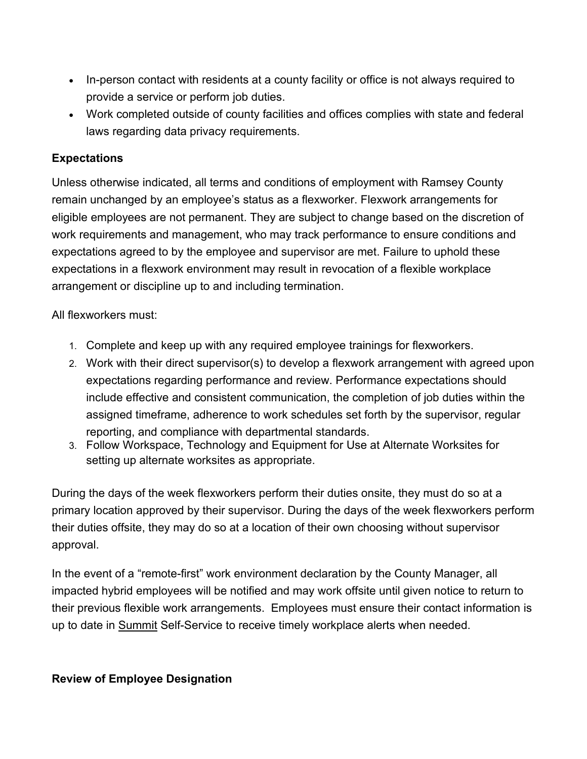- In-person contact with residents at a county facility or office is not always required to provide a service or perform job duties.
- Work completed outside of county facilities and offices complies with state and federal laws regarding data privacy requirements.

#### **Expectations**

Unless otherwise indicated, all terms and conditions of employment with Ramsey County remain unchanged by an employee's status as a flexworker. Flexwork arrangements for eligible employees are not permanent. They are subject to change based on the discretion of work requirements and management, who may track performance to ensure conditions and expectations agreed to by the employee and supervisor are met. Failure to uphold these expectations in a flexwork environment may result in revocation of a flexible workplace arrangement or discipline up to and including termination.

All flexworkers must:

- 1. Complete and keep up with any required employee trainings for flexworkers.
- 2. Work with their direct supervisor(s) to develop a flexwork arrangement with agreed upon expectations regarding performance and review. Performance expectations should include effective and consistent communication, the completion of job duties within the assigned timeframe, adherence to work schedules set forth by the supervisor, regular reporting, and compliance with departmental standards.
- 3. Follow Workspace, Technology and Equipment for Use at Alternate Worksites for setting up alternate worksites as appropriate.

During the days of the week flexworkers perform their duties onsite, they must do so at a primary location approved by their supervisor. During the days of the week flexworkers perform their duties offsite, they may do so at a location of their own choosing without supervisor approval.

In the event of a "remote-first" work environment declaration by the County Manager, all impacted hybrid employees will be notified and may work offsite until given notice to return to their previous flexible work arrangements. Employees must ensure their contact information is up to date in [Summit](https://ramseynet.us/tools-systems/summit) Self-Service to receive timely workplace alerts when needed.

#### **Review of Employee Designation**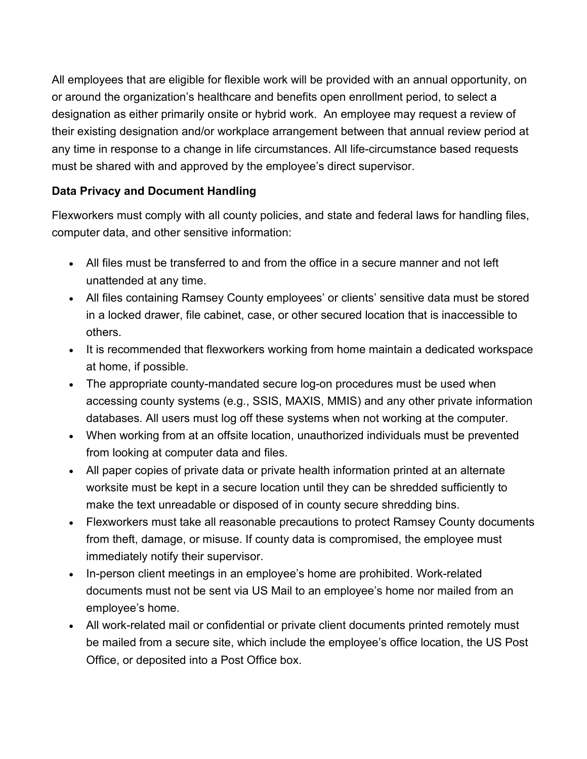All employees that are eligible for flexible work will be provided with an annual opportunity, on or around the organization's healthcare and benefits open enrollment period, to select a designation as either primarily onsite or hybrid work. An employee may request a review of their existing designation and/or workplace arrangement between that annual review period at any time in response to a change in life circumstances. All life-circumstance based requests must be shared with and approved by the employee's direct supervisor.

#### **Data Privacy and Document Handling**

Flexworkers must comply with all county policies, and state and federal laws for handling files, computer data, and other sensitive information:

- All files must be transferred to and from the office in a secure manner and not left unattended at any time.
- All files containing Ramsey County employees' or clients' sensitive data must be stored in a locked drawer, file cabinet, case, or other secured location that is inaccessible to others.
- It is recommended that flexworkers working from home maintain a dedicated workspace at home, if possible.
- The appropriate county-mandated secure log-on procedures must be used when accessing county systems (e.g., SSIS, MAXIS, MMIS) and any other private information databases. All users must log off these systems when not working at the computer.
- When working from at an offsite location, unauthorized individuals must be prevented from looking at computer data and files.
- All paper copies of private data or private health information printed at an alternate worksite must be kept in a secure location until they can be shredded sufficiently to make the text unreadable or disposed of in county secure shredding bins.
- Flexworkers must take all reasonable precautions to protect Ramsey County documents from theft, damage, or misuse. If county data is compromised, the employee must immediately notify their supervisor.
- In-person client meetings in an employee's home are prohibited. Work-related documents must not be sent via US Mail to an employee's home nor mailed from an employee's home.
- All work-related mail or confidential or private client documents printed remotely must be mailed from a secure site, which include the employee's office location, the US Post Office, or deposited into a Post Office box.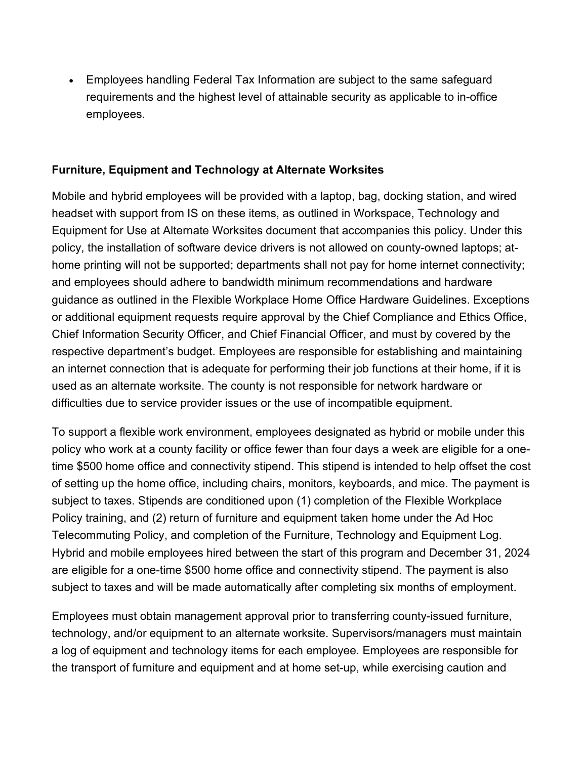• Employees handling Federal Tax Information are subject to the same safeguard requirements and the highest level of attainable security as applicable to in-office employees.

#### **Furniture, Equipment and Technology at Alternate Worksites**

Mobile and hybrid employees will be provided with a laptop, bag, docking station, and wired headset with support from IS on these items, as outlined in Workspace, Technology and Equipment for Use at Alternate Worksites document that accompanies this policy. Under this policy, the installation of software device drivers is not allowed on county-owned laptops; athome printing will not be supported; departments shall not pay for home internet connectivity; and employees should adhere to bandwidth minimum recommendations and hardware guidance as outlined in the Flexible Workplace Home Office Hardware Guidelines. Exceptions or additional equipment requests require approval by the Chief Compliance and Ethics Office, Chief Information Security Officer, and Chief Financial Officer, and must by covered by the respective department's budget. Employees are responsible for establishing and maintaining an internet connection that is adequate for performing their job functions at their home, if it is used as an alternate worksite. The county is not responsible for network hardware or difficulties due to service provider issues or the use of incompatible equipment.

To support a flexible work environment, employees designated as hybrid or mobile under this policy who work at a county facility or office fewer than four days a week are eligible for a onetime \$500 home office and connectivity stipend. This stipend is intended to help offset the cost of setting up the home office, including chairs, monitors, keyboards, and mice. The payment is subject to taxes. Stipends are conditioned upon (1) completion of the Flexible Workplace Policy training, and (2) return of furniture and equipment taken home under the Ad Hoc Telecommuting Policy, and completion of the Furniture, Technology and Equipment Log. Hybrid and mobile employees hired between the start of this program and December 31, 2024 are eligible for a one-time \$500 home office and connectivity stipend. The payment is also subject to taxes and will be made automatically after completing six months of employment.

Employees must obtain management approval prior to transferring county-issued furniture, technology, and/or equipment to an alternate worksite. Supervisors/managers must maintain a [log](https://ramseynet.us/sites/default/files/Admin%20Policies/Furniture%20Technology%20and%20Equipment%20Log%20FINAL-2022.04.21.pdf) of equipment and technology items for each employee. Employees are responsible for the transport of furniture and equipment and at home set-up, while exercising caution and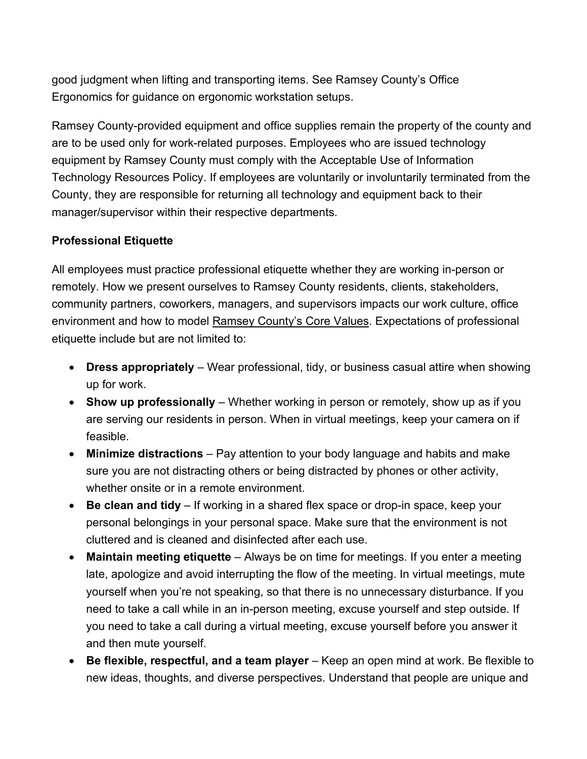good judgment when lifting and transporting items. See Ramsey County's Office Ergonomics for guidance on ergonomic workstation setups.

Ramsey County-provided equipment and office supplies remain the property of the county and are to be used only for work-related purposes. Employees who are issued technology equipment by Ramsey County must comply with the Acceptable Use of Information Technology Resources Policy. If employees are voluntarily or involuntarily terminated from the County, they are responsible for returning all technology and equipment back to their manager/supervisor within their respective departments.

#### **Professional Etiquette**

All employees must practice professional etiquette whether they are working in-person or remotely. How we present ourselves to Ramsey County residents, clients, stakeholders, community partners, coworkers, managers, and supervisors impacts our work culture, office environment and how to model Ramsey County's Core Values. Expectations of professional etiquette include but are not limited to:

- **Dress appropriately** Wear professional, tidy, or business casual attire when showing up for work.
- **Show up professionally**  Whether working in person or remotely, show up as if you are serving our residents in person. When in virtual meetings, keep your camera on if feasible.
- **Minimize distractions** Pay attention to your body language and habits and make sure you are not distracting others or being distracted by phones or other activity, whether onsite or in a remote environment.
- **Be clean and tidy** If working in a shared flex space or drop-in space, keep your personal belongings in your personal space. Make sure that the environment is not cluttered and is cleaned and disinfected after each use.
- **Maintain meeting etiquette** Always be on time for meetings. If you enter a meeting late, apologize and avoid interrupting the flow of the meeting. In virtual meetings, mute yourself when you're not speaking, so that there is no unnecessary disturbance. If you need to take a call while in an in-person meeting, excuse yourself and step outside. If you need to take a call during a virtual meeting, excuse yourself before you answer it and then mute yourself.
- **Be flexible, respectful, and a team player**  Keep an open mind at work. Be flexible to new ideas, thoughts, and diverse perspectives. Understand that people are unique and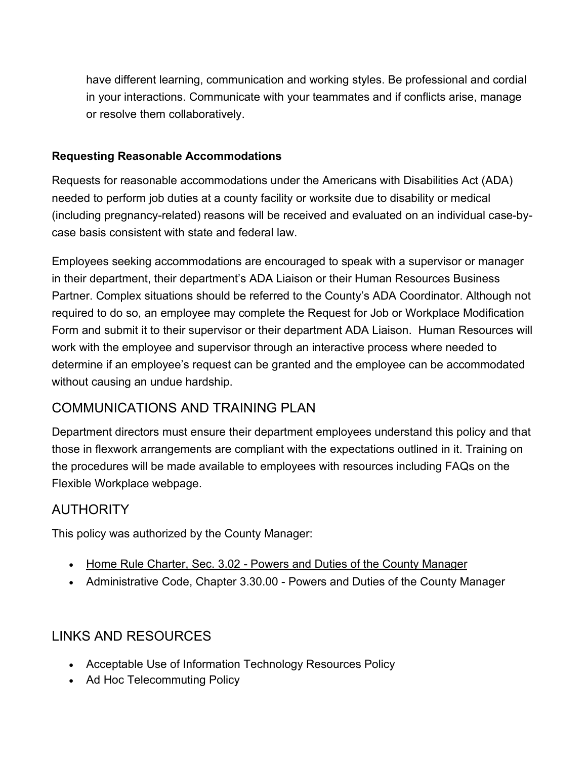have different learning, communication and working styles. Be professional and cordial in your interactions. Communicate with your teammates and if conflicts arise, manage or resolve them collaboratively.

#### **Requesting Reasonable Accommodations**

Requests for reasonable accommodations under the Americans with Disabilities Act (ADA) needed to perform job duties at a county facility or worksite due to disability or medical (including pregnancy-related) reasons will be received and evaluated on an individual case-bycase basis consistent with state and federal law.

Employees seeking accommodations are encouraged to speak with a supervisor or manager in their department, their department's ADA Liaison or their Human Resources Business Partner. Complex situations should be referred to the County's ADA Coordinator. Although not required to do so, an employee may complete the Request for Job or Workplace Modification Form and submit it to their supervisor or their department ADA Liaison. Human Resources will work with the employee and supervisor through an interactive process where needed to determine if an employee's request can be granted and the employee can be accommodated without causing an undue hardship.

# COMMUNICATIONS AND TRAINING PLAN

Department directors must ensure their department employees understand this policy and that those in flexwork arrangements are compliant with the expectations outlined in it. Training on the procedures will be made available to employees with resources including FAQs on the Flexible Workplace webpage.

# **AUTHORITY**

This policy was authorized by the County Manager:

- Home Rule Charter, [Sec. 3.02 Powers and Duties of the County Manager](https://www.ramseycounty.us/sites/default/files/Leadership/Ramsey%20County%20Home%20Rule%20Charter.pdf)
- Administrative Code, Chapter 3.30.00 Powers and Duties of the County Manager

# LINKS AND RESOURCES

- Acceptable Use of Information Technology Resources Policy
- Ad Hoc Telecommuting Policy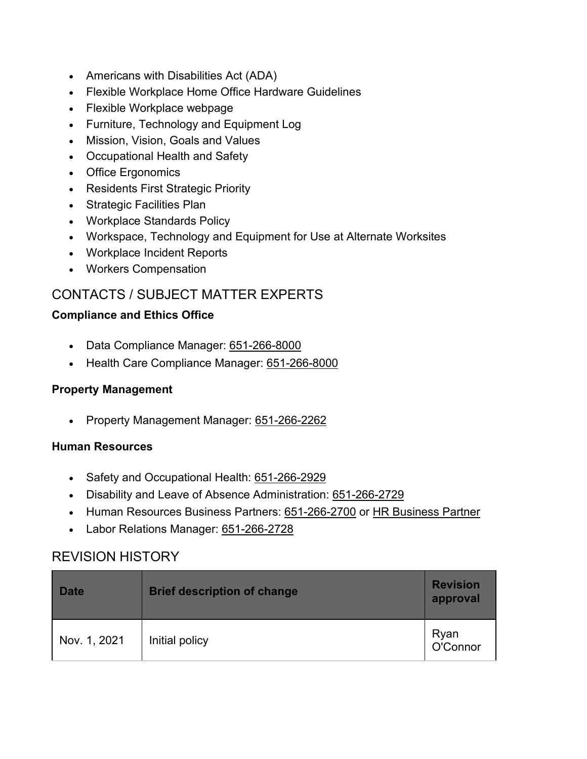- Americans with Disabilities Act (ADA)
- Flexible Workplace Home Office Hardware Guidelines
- Flexible Workplace webpage
- Furniture, Technology and Equipment Log
- Mission, Vision, Goals and Values
- Occupational Health and Safety
- Office Ergonomics
- Residents First Strategic Priority
- Strategic Facilities Plan
- Workplace Standards Policy
- Workspace, Technology and Equipment for Use at Alternate Worksites
- Workplace Incident Reports
- Workers Compensation

# CONTACTS / SUBJECT MATTER EXPERTS

#### **Compliance and Ethics Office**

- Data Compliance Manager: [651-266-8000](tel:651-266-8000)
- Health Care Compliance Manager: [651-266-8000](tel:651-266-8000)

#### **Property Management**

• Property Management Manager: [651-266-2262](tel:651-266-2262)

#### **Human Resources**

- Safety and Occupational Health: [651-266-2929](tel:651-266-2929)
- Disability and Leave of Absence Administration: [651-266-2729](tel:651-266-2729)
- Human Resources Business Partners: [651-266-2700](tel:651-266-2729) or [HR Business Partner](https://ramseynet.us/service-teams-departments/strategic-team/human-resources/department-business-partners)
- Labor Relations Manager: [651-266-2728](tel:651-266-2728)

### REVISION HISTORY

| <b>Date</b>  | <b>Brief description of change</b> | <b>Revision</b><br>approval |
|--------------|------------------------------------|-----------------------------|
| Nov. 1, 2021 | Initial policy                     | Ryan<br>O'Connor            |